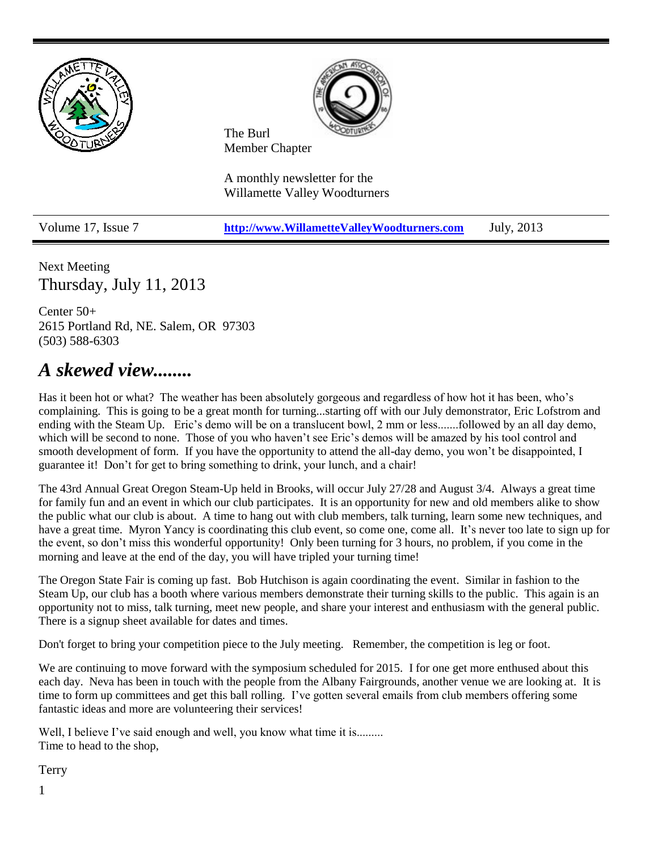

Next Meeting Thursday, July 11, 2013

Center 50+ 2615 Portland Rd, NE. Salem, OR 97303 (503) 588-6303

# *A skewed view........*

Has it been hot or what? The weather has been absolutely gorgeous and regardless of how hot it has been, who's complaining. This is going to be a great month for turning...starting off with our July demonstrator, Eric Lofstrom and ending with the Steam Up. Eric's demo will be on a translucent bowl, 2 mm or less.......followed by an all day demo, which will be second to none. Those of you who haven't see Eric's demos will be amazed by his tool control and smooth development of form. If you have the opportunity to attend the all-day demo, you won't be disappointed, I guarantee it! Don't for get to bring something to drink, your lunch, and a chair!

The 43rd Annual Great Oregon Steam-Up held in Brooks, will occur July 27/28 and August 3/4. Always a great time for family fun and an event in which our club participates. It is an opportunity for new and old members alike to show the public what our club is about. A time to hang out with club members, talk turning, learn some new techniques, and have a great time. Myron Yancy is coordinating this club event, so come one, come all. It's never too late to sign up for the event, so don't miss this wonderful opportunity! Only been turning for 3 hours, no problem, if you come in the morning and leave at the end of the day, you will have tripled your turning time!

The Oregon State Fair is coming up fast. Bob Hutchison is again coordinating the event. Similar in fashion to the Steam Up, our club has a booth where various members demonstrate their turning skills to the public. This again is an opportunity not to miss, talk turning, meet new people, and share your interest and enthusiasm with the general public. There is a signup sheet available for dates and times.

Don't forget to bring your competition piece to the July meeting. Remember, the competition is leg or foot.

We are continuing to move forward with the symposium scheduled for 2015. I for one get more enthused about this each day. Neva has been in touch with the people from the Albany Fairgrounds, another venue we are looking at. It is time to form up committees and get this ball rolling. I've gotten several emails from club members offering some fantastic ideas and more are volunteering their services!

Well, I believe I've said enough and well, you know what time it is......... Time to head to the shop,

**Terry**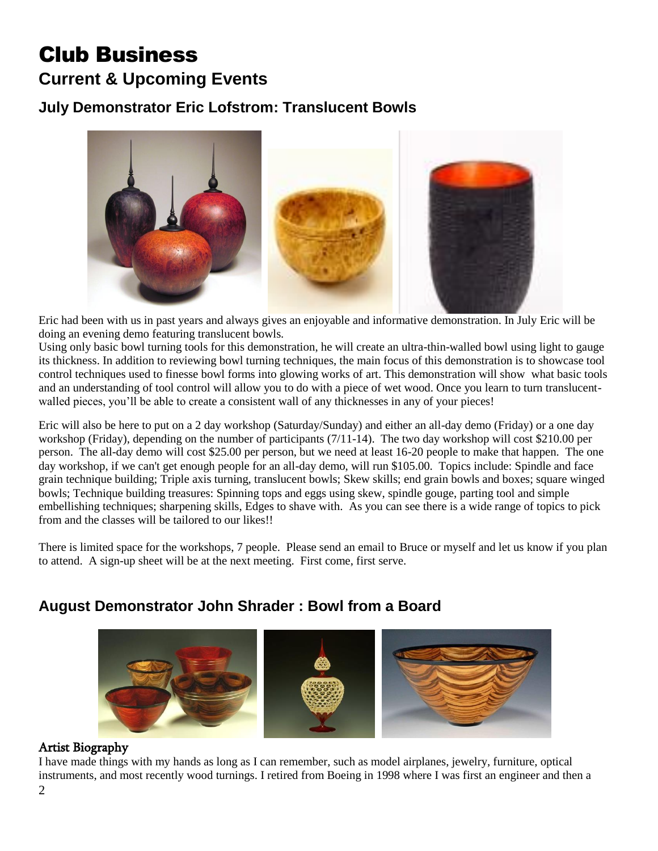## Club Business **Current & Upcoming Events**

## **July Demonstrator Eric Lofstrom: Translucent Bowls**



Eric had been with us in past years and always gives an enjoyable and informative demonstration. In July Eric will be doing an evening demo featuring translucent bowls.

Using only basic bowl turning tools for this demonstration, he will create an ultra-thin-walled bowl using light to gauge its thickness. In addition to reviewing bowl turning techniques, the main focus of this demonstration is to showcase tool control techniques used to finesse bowl forms into glowing works of art. This demonstration will show what basic tools and an understanding of tool control will allow you to do with a piece of wet wood. Once you learn to turn translucentwalled pieces, you'll be able to create a consistent wall of any thicknesses in any of your pieces!

Eric will also be here to put on a 2 day workshop (Saturday/Sunday) and either an all-day demo (Friday) or a one day workshop (Friday), depending on the number of participants (7/11-14). The two day workshop will cost \$210.00 per person. The all-day demo will cost \$25.00 per person, but we need at least 16-20 people to make that happen. The one day workshop, if we can't get enough people for an all-day demo, will run \$105.00. Topics include: Spindle and face grain technique building; Triple axis turning, translucent bowls; Skew skills; end grain bowls and boxes; square winged bowls; Technique building treasures: Spinning tops and eggs using skew, spindle gouge, parting tool and simple embellishing techniques; sharpening skills, Edges to shave with. As you can see there is a wide range of topics to pick from and the classes will be tailored to our likes!!

There is limited space for the workshops, 7 people. Please send an email to Bruce or myself and let us know if you plan to attend. A sign-up sheet will be at the next meeting. First come, first serve.

## **August Demonstrator John Shrader : Bowl from a Board**



#### Artist Biography

I have made things with my hands as long as I can remember, such as model airplanes, jewelry, furniture, optical instruments, and most recently wood turnings. I retired from Boeing in 1998 where I was first an engineer and then a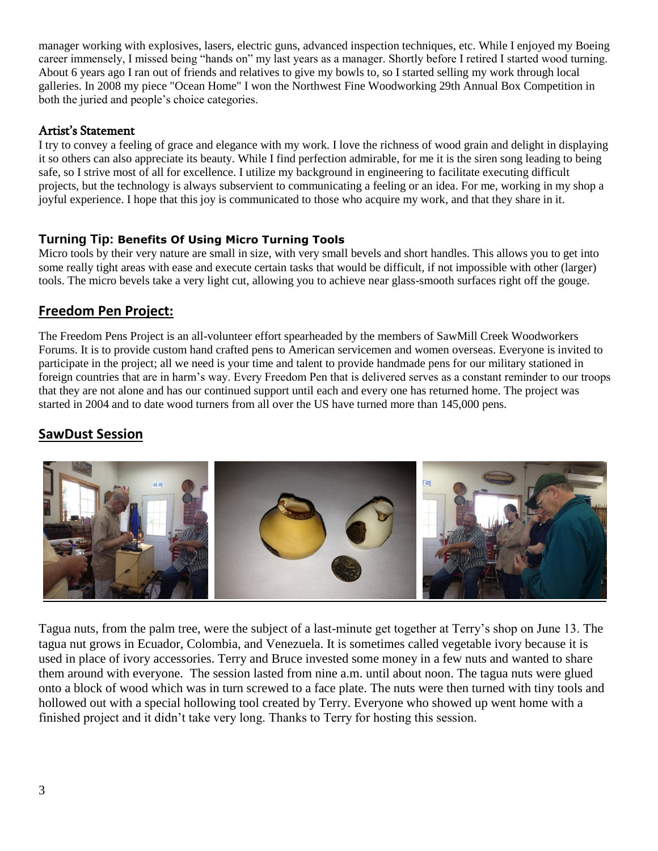manager working with explosives, lasers, electric guns, advanced inspection techniques, etc. While I enjoyed my Boeing career immensely, I missed being "hands on" my last years as a manager. Shortly before I retired I started wood turning. About 6 years ago I ran out of friends and relatives to give my bowls to, so I started selling my work through local galleries. In 2008 my piece "Ocean Home" I won the Northwest Fine Woodworking 29th Annual Box Competition in both the juried and people's choice categories.

## Artist's Statement

I try to convey a feeling of grace and elegance with my work. I love the richness of wood grain and delight in displaying it so others can also appreciate its beauty. While I find perfection admirable, for me it is the siren song leading to being safe, so I strive most of all for excellence. I utilize my background in engineering to facilitate executing difficult projects, but the technology is always subservient to communicating a feeling or an idea. For me, working in my shop a joyful experience. I hope that this joy is communicated to those who acquire my work, and that they share in it.

## **Turning Tip: Benefits Of Using Micro Turning Tools**

Micro tools by their very nature are small in size, with very small bevels and short handles. This allows you to get into some really tight areas with ease and execute certain tasks that would be difficult, if not impossible with other (larger) tools. The micro bevels take a very light cut, allowing you to achieve near glass-smooth surfaces right off the gouge.

## **Freedom Pen Project:**

The Freedom Pens Project is an all-volunteer effort spearheaded by the members of SawMill Creek Woodworkers Forums. It is to provide custom hand crafted pens to American servicemen and women overseas. Everyone is invited to participate in the project; all we need is your time and talent to provide handmade pens for our military stationed in foreign countries that are in harm's way. Every Freedom Pen that is delivered serves as a constant reminder to our troops that they are not alone and has our continued support until each and every one has returned home. The project was started in 2004 and to date wood turners from all over the US have turned more than 145,000 pens.

## **SawDust Session**



Tagua nuts, from the palm tree, were the subject of a last-minute get together at Terry's shop on June 13. The tagua nut grows in Ecuador, Colombia, and Venezuela. It is sometimes called vegetable ivory because it is used in place of ivory accessories. Terry and Bruce invested some money in a few nuts and wanted to share them around with everyone. The session lasted from nine a.m. until about noon. The tagua nuts were glued onto a block of wood which was in turn screwed to a face plate. The nuts were then turned with tiny tools and hollowed out with a special hollowing tool created by Terry. Everyone who showed up went home with a finished project and it didn't take very long. Thanks to Terry for hosting this session.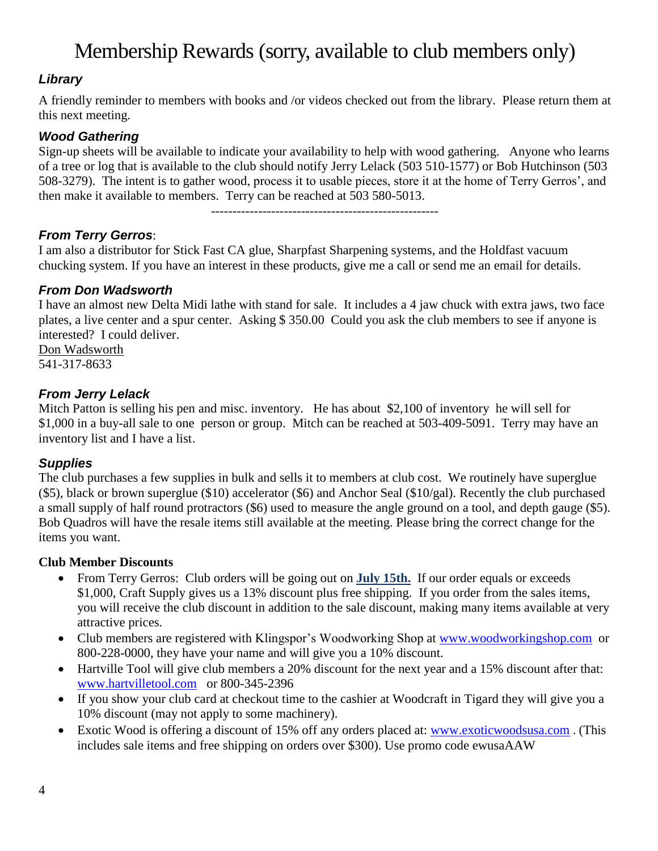# Membership Rewards (sorry, available to club members only)

## *Library*

A friendly reminder to members with books and /or videos checked out from the library. Please return them at this next meeting.

## *Wood Gathering*

Sign-up sheets will be available to indicate your availability to help with wood gathering. Anyone who learns of a tree or log that is available to the club should notify Jerry Lelack (503 510-1577) or Bob Hutchinson (503 508-3279). The intent is to gather wood, process it to usable pieces, store it at the home of Terry Gerros', and then make it available to members. Terry can be reached at 503 580-5013.

-----------------------------------------------------

*From Terry Gerros*:

I am also a distributor for Stick Fast CA glue, Sharpfast Sharpening systems, and the Holdfast vacuum chucking system. If you have an interest in these products, give me a call or send me an email for details.

## *From Don Wadsworth*

I have an almost new Delta Midi lathe with stand for sale. It includes a 4 jaw chuck with extra jaws, two face plates, a live center and a spur center. Asking \$ 350.00 Could you ask the club members to see if anyone is interested? I could deliver.

Don Wadsworth 541-317-8633

## *From Jerry Lelack*

Mitch Patton is selling his pen and misc. inventory. He has about \$2,100 of inventory he will sell for \$1,000 in a buy-all sale to one person or group. Mitch can be reached at 503-409-5091. Terry may have an inventory list and I have a list.

## *Supplies*

The club purchases a few supplies in bulk and sells it to members at club cost. We routinely have superglue (\$5), black or brown superglue (\$10) accelerator (\$6) and Anchor Seal (\$10/gal). Recently the club purchased a small supply of half round protractors (\$6) used to measure the angle ground on a tool, and depth gauge (\$5). Bob Quadros will have the resale items still available at the meeting. Please bring the correct change for the items you want.

#### **Club Member Discounts**

- From Terry Gerros: Club orders will be going out on **July 15th.** If our order equals or exceeds \$1,000, Craft Supply gives us a 13% discount plus free shipping. If you order from the sales items, you will receive the club discount in addition to the sale discount, making many items available at very attractive prices.
- Club members are registered with Klingspor's Woodworking Shop at [www.woodworkingshop.com](http://www.woodworkingshop.com/) or 800-228-0000, they have your name and will give you a 10% discount.
- Hartville Tool will give club members a 20% discount for the next year and a 15% discount after that: [www.hartvilletool.com](http://www.hartvilletool.com/) or 800-345-2396
- If you show your club card at checkout time to the cashier at Woodcraft in Tigard they will give you a 10% discount (may not apply to some machinery).
- Exotic Wood is offering a discount of 15% off any orders placed at: [www.exoticwoodsusa.com](http://www.exoticwoodsusa.com/). (This includes sale items and free shipping on orders over \$300). Use promo code ewusaAAW